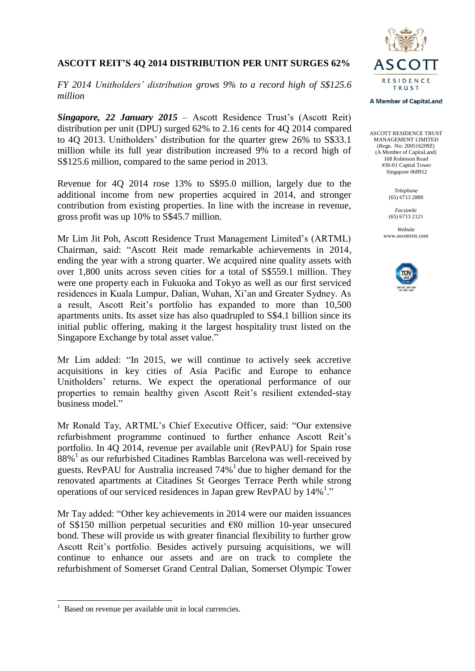# **RESIDENCE** TRIIST

# **ASCOTT REIT'S 4Q 2014 DISTRIBUTION PER UNIT SURGES 62%**

*FY 2014 Unitholders' distribution grows 9% to a record high of S\$125.6 million*

*Singapore, 22 January 2015* – Ascott Residence Trust's (Ascott Reit) distribution per unit (DPU) surged 62% to 2.16 cents for 4Q 2014 compared to 4Q 2013. Unitholders' distribution for the quarter grew 26% to S\$33.1 million while its full year distribution increased 9% to a record high of S\$125.6 million, compared to the same period in 2013.

Revenue for 4Q 2014 rose 13% to S\$95.0 million, largely due to the additional income from new properties acquired in 2014, and stronger contribution from existing properties. In line with the increase in revenue, gross profit was up 10% to S\$45.7 million.

Mr Lim Jit Poh, Ascott Residence Trust Management Limited's (ARTML) Chairman, said: "Ascott Reit made remarkable achievements in 2014, ending the year with a strong quarter. We acquired nine quality assets with over 1,800 units across seven cities for a total of S\$559.1 million. They were one property each in Fukuoka and Tokyo as well as our first serviced residences in Kuala Lumpur, Dalian, Wuhan, Xi'an and Greater Sydney. As a result, Ascott Reit's portfolio has expanded to more than 10,500 apartments units. Its asset size has also quadrupled to S\$4.1 billion since its initial public offering, making it the largest hospitality trust listed on the Singapore Exchange by total asset value."

Mr Lim added: "In 2015, we will continue to actively seek accretive acquisitions in key cities of Asia Pacific and Europe to enhance Unitholders' returns. We expect the operational performance of our properties to remain healthy given Ascott Reit's resilient extended-stay business model."

Mr Ronald Tay, ARTML's Chief Executive Officer, said: "Our extensive refurbishment programme continued to further enhance Ascott Reit's portfolio. In 4Q 2014, revenue per available unit (RevPAU) for Spain rose  $88\%$ <sup>1</sup> as our refurbished Citadines Ramblas Barcelona was well-received by guests. RevPAU for Australia increased  $74\%$ <sup>1</sup> due to higher demand for the renovated apartments at Citadines St Georges Terrace Perth while strong operations of our serviced residences in Japan grew RevPAU by 14%<sup>1</sup>."

Mr Tay added: "Other key achievements in 2014 were our maiden issuances of S\$150 million perpetual securities and €80 million 10-year unsecured bond. These will provide us with greater financial flexibility to further grow Ascott Reit's portfolio. Besides actively pursuing acquisitions, we will continue to enhance our assets and are on track to complete the refurbishment of Somerset Grand Central Dalian, Somerset Olympic Tower

-

#### **A Member of CapitaLand**

ASCOTT RESIDENCE TRUST MANAGEMENT LIMITED (Regn. No: 200516209Z) (A Member of CapitaLand) 168 Robinson Road #30-01 Capital Tower Singapore 068912

> *Telephone* (65) 6713 2888

*Facsimile* (65) 6713 2121

*Website* www.ascottreit.com



<sup>1</sup> Based on revenue per available unit in local currencies.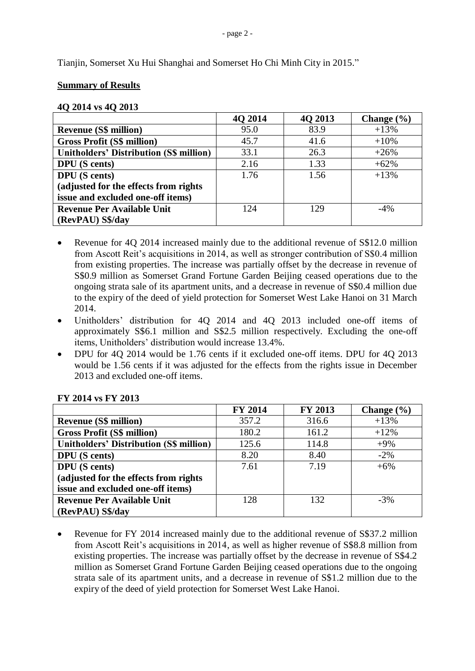Tianjin, Somerset Xu Hui Shanghai and Somerset Ho Chi Minh City in 2015."

# **Summary of Results**

# **4Q 2014 vs 4Q 2013**

|                                                | 4Q 2014 | 4Q 2013 | Change $(\% )$ |
|------------------------------------------------|---------|---------|----------------|
| <b>Revenue (S\$ million)</b>                   | 95.0    | 83.9    | $+13%$         |
| <b>Gross Profit (S\$ million)</b>              | 45.7    | 41.6    | $+10%$         |
| <b>Unitholders' Distribution (S\$ million)</b> | 33.1    | 26.3    | $+26%$         |
| <b>DPU</b> (S cents)                           | 2.16    | 1.33    | $+62%$         |
| <b>DPU</b> (S cents)                           | 1.76    | 1.56    | $+13%$         |
| (adjusted for the effects from rights)         |         |         |                |
| issue and excluded one-off items)              |         |         |                |
| <b>Revenue Per Available Unit</b>              | 124     | 129     | $-4\%$         |
| (RevPAU) S\$/day                               |         |         |                |

- Revenue for 4Q 2014 increased mainly due to the additional revenue of S\$12.0 million from Ascott Reit's acquisitions in 2014, as well as stronger contribution of S\$0.4 million from existing properties. The increase was partially offset by the decrease in revenue of S\$0.9 million as Somerset Grand Fortune Garden Beijing ceased operations due to the ongoing strata sale of its apartment units, and a decrease in revenue of S\$0.4 million due to the expiry of the deed of yield protection for Somerset West Lake Hanoi on 31 March 2014.
- Unitholders' distribution for 4Q 2014 and 4Q 2013 included one-off items of approximately S\$6.1 million and S\$2.5 million respectively. Excluding the one-off items, Unitholders' distribution would increase 13.4%.
- DPU for 4Q 2014 would be 1.76 cents if it excluded one-off items. DPU for 4Q 2013 would be 1.56 cents if it was adjusted for the effects from the rights issue in December 2013 and excluded one-off items.

|                                                | <b>FY 2014</b> | FY 2013 | Change $(\% )$ |
|------------------------------------------------|----------------|---------|----------------|
| <b>Revenue (S\$ million)</b>                   | 357.2          | 316.6   | $+13%$         |
| <b>Gross Profit (S\$ million)</b>              | 180.2          | 161.2   | $+12%$         |
| <b>Unitholders' Distribution (S\$ million)</b> | 125.6          | 114.8   | $+9%$          |
| <b>DPU</b> (S cents)                           | 8.20           | 8.40    | $-2\%$         |
| <b>DPU</b> (S cents)                           | 7.61           | 7.19    | $+6\%$         |
| (adjusted for the effects from rights)         |                |         |                |
| issue and excluded one-off items)              |                |         |                |
| <b>Revenue Per Available Unit</b>              | 128            | 132     | $-3%$          |
| (RevPAU) S\$/day                               |                |         |                |

# **FY 2014 vs FY 2013**

• Revenue for FY 2014 increased mainly due to the additional revenue of S\$37.2 million from Ascott Reit's acquisitions in 2014, as well as higher revenue of S\$8.8 million from existing properties. The increase was partially offset by the decrease in revenue of S\$4.2 million as Somerset Grand Fortune Garden Beijing ceased operations due to the ongoing strata sale of its apartment units, and a decrease in revenue of S\$1.2 million due to the expiry of the deed of yield protection for Somerset West Lake Hanoi.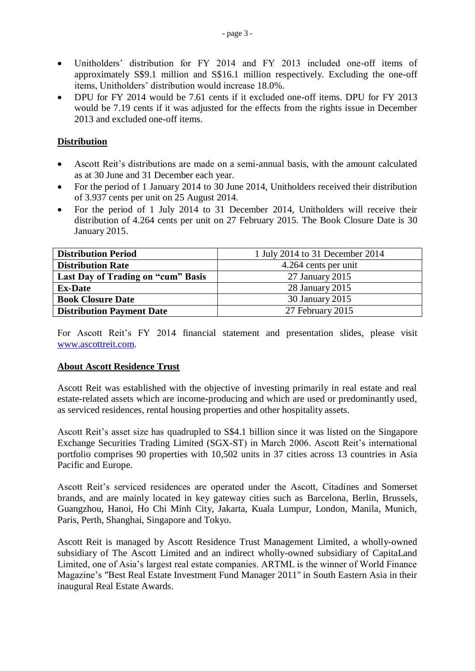- Unitholders' distribution for FY 2014 and FY 2013 included one-off items of approximately S\$9.1 million and S\$16.1 million respectively. Excluding the one-off items, Unitholders' distribution would increase 18.0%.
- DPU for FY 2014 would be 7.61 cents if it excluded one-off items. DPU for FY 2013 would be 7.19 cents if it was adjusted for the effects from the rights issue in December 2013 and excluded one-off items.

# **Distribution**

- Ascott Reit's distributions are made on a semi-annual basis, with the amount calculated as at 30 June and 31 December each year.
- For the period of 1 January 2014 to 30 June 2014, Unitholders received their distribution of 3.937 cents per unit on 25 August 2014.
- For the period of 1 July 2014 to 31 December 2014, Unitholders will receive their distribution of 4.264 cents per unit on 27 February 2015. The Book Closure Date is 30 January 2015.

| <b>Distribution Period</b>         | 1 July 2014 to 31 December 2014 |
|------------------------------------|---------------------------------|
| <b>Distribution Rate</b>           | 4.264 cents per unit            |
| Last Day of Trading on "cum" Basis | 27 January 2015                 |
| <b>Ex-Date</b>                     | 28 January 2015                 |
| <b>Book Closure Date</b>           | 30 January 2015                 |
| <b>Distribution Payment Date</b>   | 27 February 2015                |

For Ascott Reit's FY 2014 financial statement and presentation slides, please visit [www.ascottreit.com.](http://www.ascottreit.com/)

# **About Ascott Residence Trust**

Ascott Reit was established with the objective of investing primarily in real estate and real estate-related assets which are income-producing and which are used or predominantly used, as serviced residences, rental housing properties and other hospitality assets.

Ascott Reit's asset size has quadrupled to S\$4.1 billion since it was listed on the Singapore Exchange Securities Trading Limited (SGX-ST) in March 2006. Ascott Reit's international portfolio comprises 90 properties with 10,502 units in 37 cities across 13 countries in Asia Pacific and Europe.

Ascott Reit's serviced residences are operated under the Ascott, Citadines and Somerset brands, and are mainly located in key gateway cities such as Barcelona, Berlin, Brussels, Guangzhou, Hanoi, Ho Chi Minh City, Jakarta, Kuala Lumpur, London, Manila, Munich, Paris, Perth, Shanghai, Singapore and Tokyo.

Ascott Reit is managed by Ascott Residence Trust Management Limited, a wholly-owned subsidiary of The Ascott Limited and an indirect wholly-owned subsidiary of CapitaLand Limited, one of Asia's largest real estate companies. ARTML is the winner of World Finance Magazine's "Best Real Estate Investment Fund Manager 2011" in South Eastern Asia in their inaugural Real Estate Awards.